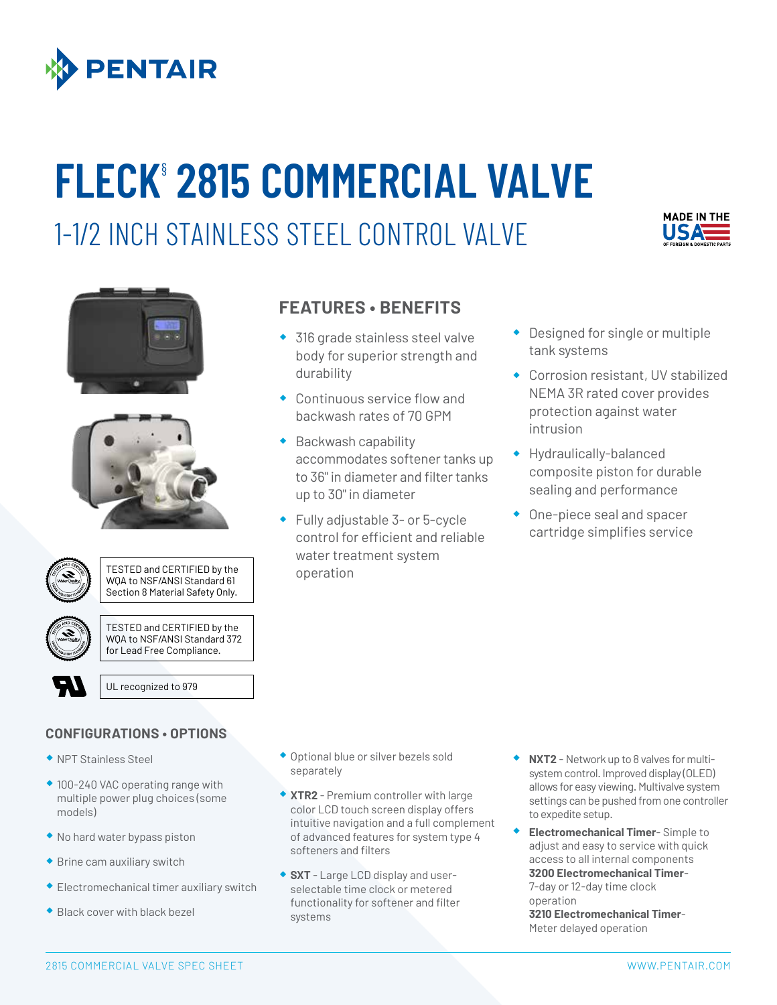

## **FLECK**§ **2815 COMMERCIAL VALVE**

1-1/2 INCH STAINLESS STEEL CONTROL VALVE









TESTED and CERTIFIED by the WQA to NSF/ANSI Standard 61 Section 8 Material Safety Only.



TESTED and CERTIFIED by the WQA to NSF/ANSI Standard 372 for Lead Free Compliance.

UL recognized to 979

## **CONFIGURATIONS • OPTIONS**

- ® NPT Stainless Steel
- ◆ 100-240 VAC operating range with multiple power plug choices (some models)
- ® No hard water bypass piston
- ® Brine cam auxiliary switch
- ® Electromechanical timer auxiliary switch
- ® Black cover with black bezel

## **FEATURES • BENEFITS**

- ◆ 316 grade stainless steel valve body for superior strength and durability
- ® Continuous service flow and backwash rates of 70 GPM
- ® Backwash capability accommodates softener tanks up to 36" in diameter and filter tanks up to 30" in diameter
- ® Fully adjustable 3- or 5-cycle control for efficient and reliable water treatment system operation
- ® Designed for single or multiple tank systems
- ® Corrosion resistant, UV stabilized NEMA 3R rated cover provides protection against water intrusion
- ® Hydraulically-balanced composite piston for durable sealing and performance
- ® One-piece seal and spacer cartridge simplifies service

- ® Optional blue or silver bezels sold separately
- ® **XTR2**  Premium controller with large color LCD touch screen display offers intuitive navigation and a full complement of advanced features for system type 4 softeners and filters
- ® **SXT**  Large LCD display and userselectable time clock or metered functionality for softener and filter systems
- ® **NXT2**  Network up to 8 valves for multisystem control. Improved display (OLED) allows for easy viewing. Multivalve system settings can be pushed from one controller to expedite setup.
- ® **Electromechanical Timer** Simple to adjust and easy to service with quick access to all internal components **3200 Electromechanical Timer**-

7-day or 12-day time clock operation

**3210 Electromechanical Timer**-Meter delayed operation